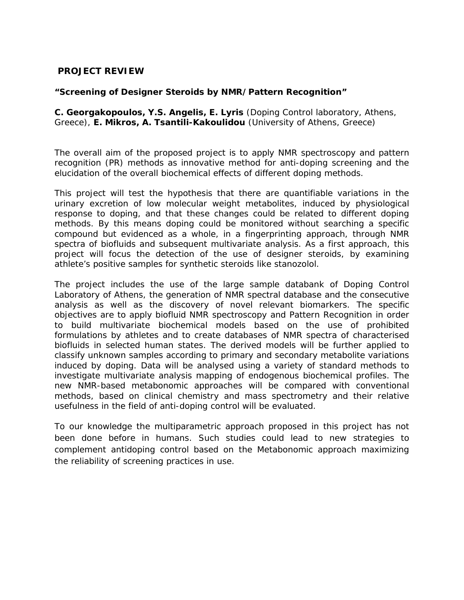## **PROJECT REVIEW**

## **"Screening of Designer Steroids by NMR/Pattern Recognition"**

**C. Georgakopoulos, Y.S. Angelis, E. Lyris** (Doping Control laboratory, Athens, Greece), **E. Mikros, A. Tsantili-Kakoulidou** (University of Athens, Greece)

The overall aim of the proposed project is to apply NMR spectroscopy and pattern recognition (PR) methods as innovative method for anti-doping screening and the elucidation of the overall biochemical effects of different doping methods.

This project will test the hypothesis that there are quantifiable variations in the urinary excretion of low molecular weight metabolites, induced by physiological response to doping, and that these changes could be related to different doping methods. By this means doping could be monitored without searching a specific compound but evidenced as a whole, in a fingerprinting approach, through NMR spectra of biofluids and subsequent multivariate analysis. As a first approach, this project will focus the detection of the use of designer steroids, by examining athlete's positive samples for synthetic steroids like stanozolol.

The project includes the use of the large sample databank of Doping Control Laboratory of Athens, the generation of NMR spectral database and the consecutive analysis as well as the discovery of novel relevant biomarkers. The specific objectives are to apply biofluid NMR spectroscopy and Pattern Recognition in order to build multivariate biochemical models based on the use of prohibited formulations by athletes and to create databases of NMR spectra of characterised biofluids in selected human states. The derived models will be further applied to classify unknown samples according to primary and secondary metabolite variations induced by doping. Data will be analysed using a variety of standard methods to investigate multivariate analysis mapping of endogenous biochemical profiles. The new NMR-based metabonomic approaches will be compared with conventional methods, based on clinical chemistry and mass spectrometry and their relative usefulness in the field of anti-doping control will be evaluated.

To our knowledge the multiparametric approach proposed in this project has not been done before in humans. Such studies could lead to new strategies to complement antidoping control based on the Metabonomic approach maximizing the reliability of screening practices in use.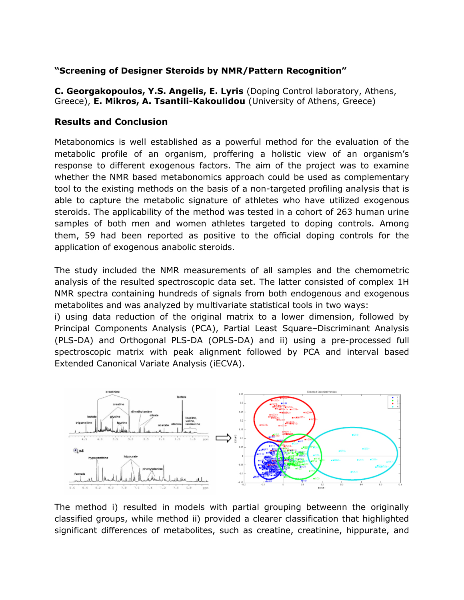## **"Screening of Designer Steroids by NMR/Pattern Recognition"**

**C. Georgakopoulos, Y.S. Angelis, E. Lyris** (Doping Control laboratory, Athens, Greece), **E. Mikros, A. Tsantili-Kakoulidou** (University of Athens, Greece)

## **Results and Conclusion**

Metabonomics is well established as a powerful method for the evaluation of the metabolic profile of an organism, proffering a holistic view of an organism's response to different exogenous factors. The aim of the project was to examine whether the NMR based metabonomics approach could be used as complementary tool to the existing methods on the basis of a non-targeted profiling analysis that is able to capture the metabolic signature of athletes who have utilized exogenous steroids. The applicability of the method was tested in a cohort of 263 human urine samples of both men and women athletes targeted to doping controls. Among them, 59 had been reported as positive to the official doping controls for the application of exogenous anabolic steroids.

The study included the NMR measurements of all samples and the chemometric analysis of the resulted spectroscopic data set. The latter consisted of complex 1H NMR spectra containing hundreds of signals from both endogenous and exogenous metabolites and was analyzed by multivariate statistical tools in two ways:

i) using data reduction of the original matrix to a lower dimension, followed by Principal Components Analysis (PCA), Partial Least Square–Discriminant Analysis (PLS-DA) and Orthogonal PLS-DA (OPLS-DA) and ii) using a pre-processed full spectroscopic matrix with peak alignment followed by PCA and interval based Extended Canonical Variate Analysis (iECVA).



The method i) resulted in models with partial grouping betweenn the originally classified groups, while method ii) provided a clearer classification that highlighted significant differences of metabolites, such as creatine, creatinine, hippurate, and